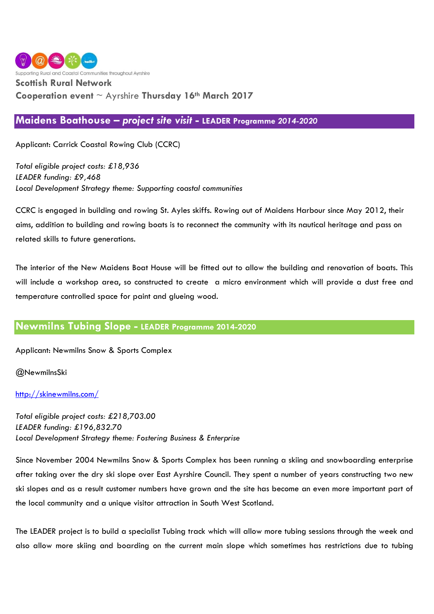

# **Scottish Rural Network**

## **Cooperation event** ~ Ayrshire **Thursday 16th March 2017**

### **Maidens Boathouse –** *project site visit* **- LEADER Programme** *2014-2020*

Applicant: Carrick Coastal Rowing Club (CCRC)

*Total eligible project costs: £18,936 LEADER funding: £9,468 Local Development Strategy theme: Supporting coastal communities*

CCRC is engaged in building and rowing St. Ayles skiffs. Rowing out of Maidens Harbour since May 2012, their aims, addition to building and rowing boats is to reconnect the community with its nautical heritage and pass on related skills to future generations.

The interior of the New Maidens Boat House will be fitted out to allow the building and renovation of boats. This will include a workshop area, so constructed to create a micro environment which will provide a dust free and temperature controlled space for paint and glueing wood.

### **Newmilns Tubing Slope - LEADER Programme 2014-2020**

Applicant: Newmilns Snow & Sports Complex

@NewmilnsSki

### <http://skinewmilns.com/>

*Total eligible project costs: £218,703.00 LEADER funding: £196,832.70 Local Development Strategy theme: Fostering Business & Enterprise*

Since November 2004 Newmilns Snow & Sports Complex has been running a skiing and snowboarding enterprise after taking over the dry ski slope over East Ayrshire Council. They spent a number of years constructing two new ski slopes and as a result customer numbers have grown and the site has become an even more important part of the local community and a unique visitor attraction in South West Scotland.

The LEADER project is to build a specialist Tubing track which will allow more tubing sessions through the week and also allow more skiing and boarding on the current main slope which sometimes has restrictions due to tubing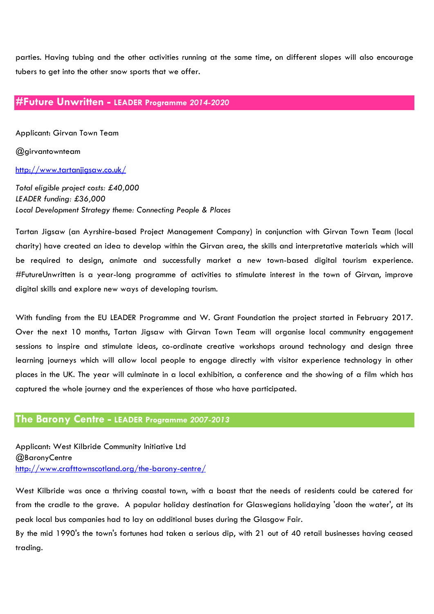parties. Having tubing and the other activities running at the same time, on different slopes will also encourage tubers to get into the other snow sports that we offer.

# **#Future Unwritten - LEADER Programme** *2014-2020*

Applicant: Girvan Town Team

@girvantownteam

<http://www.tartanjigsaw.co.uk/>

*Total eligible project costs: £40,000 LEADER funding: £36,000 Local Development Strategy theme: Connecting People & Places*

Tartan Jigsaw (an Ayrshire-based Project Management Company) in conjunction with Girvan Town Team (local charity) have created an idea to develop within the Girvan area, the skills and interpretative materials which will be required to design, animate and successfully market a new town-based digital tourism experience. #FutureUnwritten is a year-long programme of activities to stimulate interest in the town of Girvan, improve digital skills and explore new ways of developing tourism.

With funding from the EU LEADER Programme and W. Grant Foundation the project started in February 2017. Over the next 10 months, Tartan Jigsaw with Girvan Town Team will organise local community engagement sessions to inspire and stimulate ideas, co-ordinate creative workshops around technology and design three learning journeys which will allow local people to engage directly with visitor experience technology in other places in the UK. The year will culminate in a local exhibition, a conference and the showing of a film which has captured the whole journey and the experiences of those who have participated.

### **The Barony Centre - LEADER Programme** *2007-2013*

Applicant: West Kilbride Community Initiative Ltd @BaronyCentre <http://www.crafttownscotland.org/the-barony-centre/>

West Kilbride was once a thriving coastal town, with a boast that the needs of residents could be catered for from the cradle to the grave. A popular holiday destination for Glaswegians holidaying 'doon the water', at its peak local bus companies had to lay on additional buses during the Glasgow Fair.

By the mid 1990's the town's fortunes had taken a serious dip, with 21 out of 40 retail businesses having ceased trading.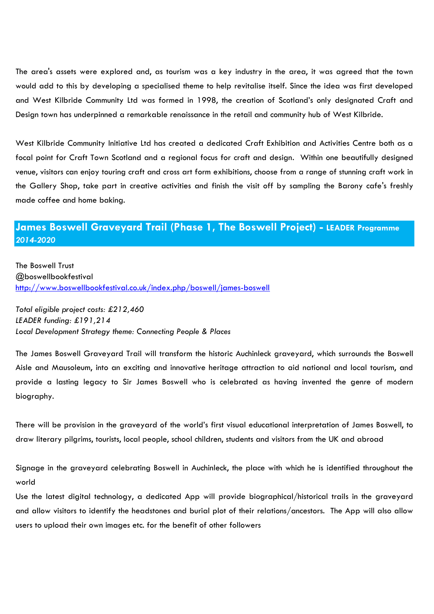The area's assets were explored and, as tourism was a key industry in the area, it was agreed that the town would add to this by developing a specialised theme to help revitalise itself. Since the idea was first developed and West Kilbride Community Ltd was formed in 1998, the creation of Scotland's only designated Craft and Design town has underpinned a remarkable renaissance in the retail and community hub of West Kilbride.

West Kilbride Community Initiative Ltd has created a dedicated Craft Exhibition and Activities Centre both as a focal point for Craft Town Scotland and a regional focus for craft and design. Within one beautifully designed venue, visitors can enjoy touring craft and cross art form exhibitions, choose from a range of stunning craft work in the Gallery Shop, take part in creative activities and finish the visit off by sampling the Barony cafe's freshly made coffee and home baking.

# **James Boswell Graveyard Trail (Phase 1, The Boswell Project) - LEADER Programme**  *2014-2020*

The Boswell Trust @boswellbookfestival <http://www.boswellbookfestival.co.uk/index.php/boswell/james-boswell>

*Total eligible project costs: £212,460 LEADER funding: £191,214 Local Development Strategy theme: Connecting People & Places*

The James Boswell Graveyard Trail will transform the historic Auchinleck graveyard, which surrounds the Boswell Aisle and Mausoleum, into an exciting and innovative heritage attraction to aid national and local tourism, and provide a lasting legacy to Sir James Boswell who is celebrated as having invented the genre of modern biography.

There will be provision in the graveyard of the world's first visual educational interpretation of James Boswell, to draw literary pilgrims, tourists, local people, school children, students and visitors from the UK and abroad

Signage in the graveyard celebrating Boswell in Auchinleck, the place with which he is identified throughout the world

Use the latest digital technology, a dedicated App will provide biographical/historical trails in the graveyard and allow visitors to identify the headstones and burial plot of their relations/ancestors. The App will also allow users to upload their own images etc. for the benefit of other followers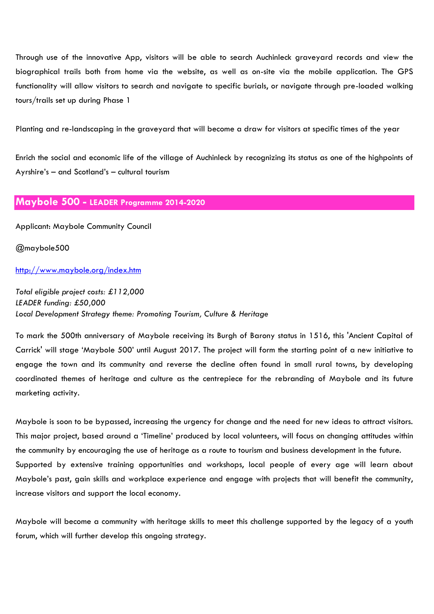Through use of the innovative App, visitors will be able to search Auchinleck graveyard records and view the biographical trails both from home via the website, as well as on-site via the mobile application. The GPS functionality will allow visitors to search and navigate to specific burials, or navigate through pre-loaded walking tours/trails set up during Phase 1

Planting and re-landscaping in the graveyard that will become a draw for visitors at specific times of the year

Enrich the social and economic life of the village of Auchinleck by recognizing its status as one of the highpoints of Ayrshire's – and Scotland's – cultural tourism

### **Maybole 500 - LEADER Programme 2014-2020**

Applicant: Maybole Community Council

@maybole500

### <http://www.maybole.org/index.htm>

*Total eligible project costs: £112,000 LEADER funding: £50,000 Local Development Strategy theme: Promoting Tourism, Culture & Heritage*

To mark the 500th anniversary of Maybole receiving its Burgh of Barony status in 1516, this 'Ancient Capital of Carrick' will stage 'Maybole 500' until August 2017. The project will form the starting point of a new initiative to engage the town and its community and reverse the decline often found in small rural towns, by developing coordinated themes of heritage and culture as the centrepiece for the rebranding of Maybole and its future marketing activity.

Maybole is soon to be bypassed, increasing the urgency for change and the need for new ideas to attract visitors. This major project, based around a 'Timeline' produced by local volunteers, will focus on changing attitudes within the community by encouraging the use of heritage as a route to tourism and business development in the future. Supported by extensive training opportunities and workshops, local people of every age will learn about Maybole's past, gain skills and workplace experience and engage with projects that will benefit the community, increase visitors and support the local economy.

Maybole will become a community with heritage skills to meet this challenge supported by the legacy of a youth forum, which will further develop this ongoing strategy.